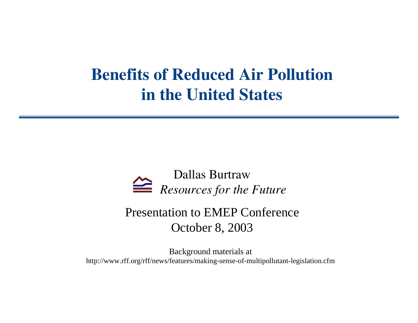### **Benefits of Reduced Air Pollutionin the United States**



#### Presentation to EMEP Conference October 8, 2003

Background materials at http://www.rff.org/rff/news/features/making-sense-of-multipollutant-legislation.cfm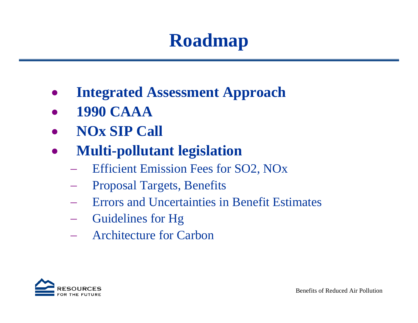# **Roadmap**

- •**Integrated Assessment Approach**
- •**1990 CAAA**
- •**NOx SIP Call**
- $\bullet$  **Multi-pollutant legislation** 
	- −Efficient Emission Fees for SO2, NOx
	- −Proposal Targets, Benefits
	- −Errors and Uncertainties in Benefit Estimates
	- −Guidelines for Hg
	- −Architecture for Carbon

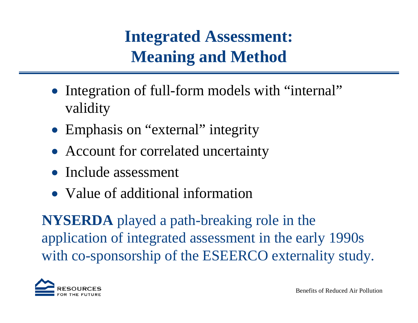### **Integrated Assessment: Meaning and Method**

- Integration of full-form models with "internal" validity
- Emphasis on "external" integrity
- Account for correlated uncertainty
- Include assessment
- Value of additional information

**NYSERDA** played a path-breaking role in the application of integrated assessment in the early 1990s with co-sponsorship of the ESEERCO externality study.

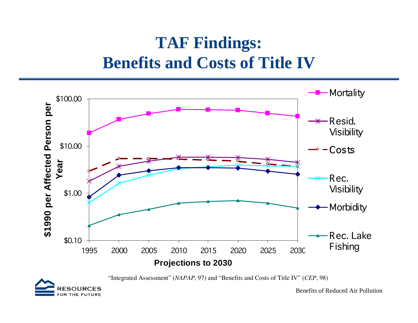### **TAF Findings: Benefits and Costs of Title IV**



"Integrated Assessment" (*NAPAP,* 97) and "Benefits and Costs of Title IV" (*CEP*, 98)

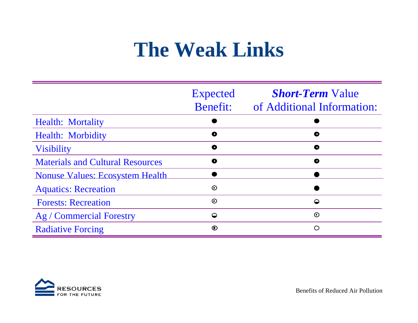# **The Weak Links**

|                                         | <b>Expected</b><br><b>Benefit:</b> | <b><i>Short-Term</i></b> Value<br>of Additional Information: |
|-----------------------------------------|------------------------------------|--------------------------------------------------------------|
| <b>Health: Mortality</b>                |                                    |                                                              |
| <b>Health: Morbidity</b>                | $\bullet$                          | $\bullet$                                                    |
| <b>Visibility</b>                       | $\bullet$                          | $\bullet$                                                    |
| <b>Materials and Cultural Resources</b> | $\bullet$                          | $\bullet$                                                    |
| <b>Nonuse Values: Ecosystem Health</b>  |                                    |                                                              |
| <b>Aquatics: Recreation</b>             | $\odot$                            |                                                              |
| <b>Forests: Recreation</b>              | $\odot$                            | $\bullet$                                                    |
| Ag / Commercial Forestry                | $\circ$                            | $\odot$                                                      |
| <b>Radiative Forcing</b>                | $\odot$                            | $\bigcirc$                                                   |

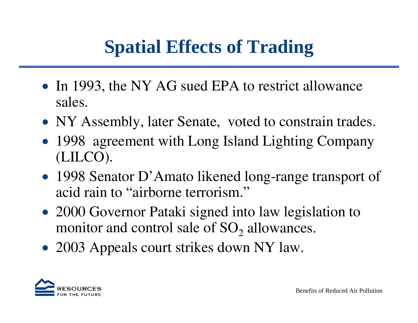# **Spatial Effects of Trading**

- In 1993, the NY AG sued EPA to restrict allowance sales.
- NY Assembly, later Senate, voted to constrain trades.
- 1998 agreement with Long Island Lighting Company (LILCO).
- 1998 Senator D'Amato likened long-range transport of acid rain to "airborne terrorism."
- 2000 Governor Pataki signed into law legislation to monitor and control sale of  $SO_2$  allowances.
- 2003 Appeals court strikes down NY law.

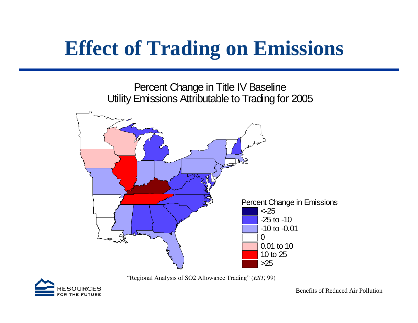# **Effect of Trading on Emissions**



"Regional Analysis of SO2 Allowance Trading" (*EST,* 99)

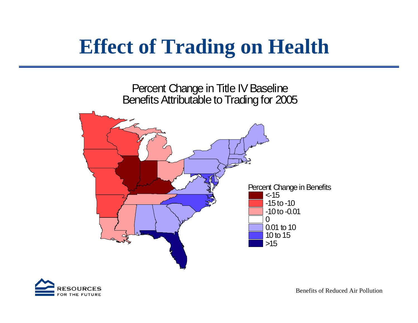# **Effect of Trading on Health**



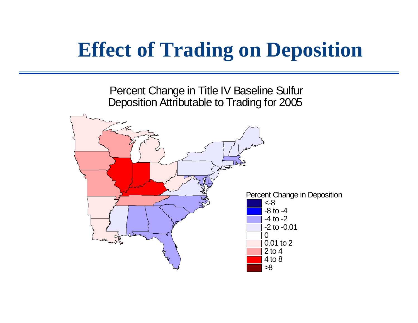# **Effect of Trading on Deposition**

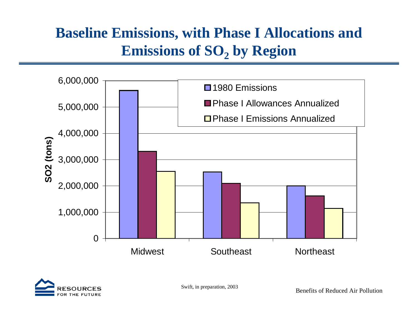#### **Baseline Emissions, with Phase I Allocations and Emissions of SO<sub>2</sub> by Region**



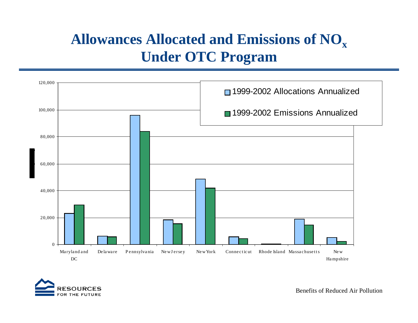#### **Allowances Allocated and Emissions of NO xUnder OTC Program**



SOURCES THE FUTURE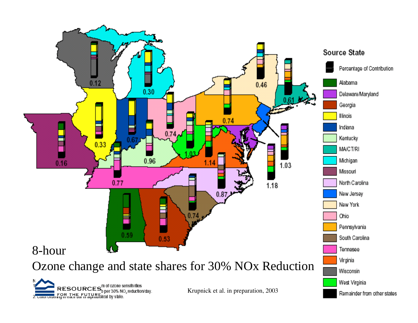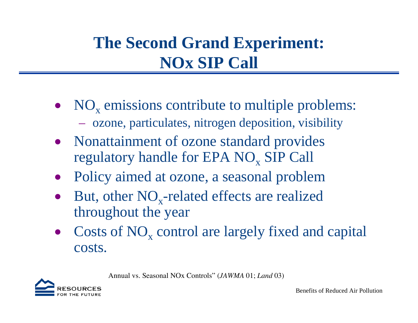### **The Second Grand Experiment: NOx SIP Call**

- $NO<sub>x</sub>$  emissions contribute to multiple problems: – ozone, particulates, nitrogen deposition, visibility
- Nonattainment of ozone standard provides regulatory handle for EPA  $NO_x$  SIP Call
- Policy aimed at ozone, a seasonal problem
- $\bullet$ But, other  $NO<sub>x</sub>$ -related effects are realized throughout the year
- Costs of  $NO<sub>x</sub>$  control are largely fixed and capital costs.

Annual vs. Seasonal NOx Controls" (*JAWMA* 01; *Land* 03)

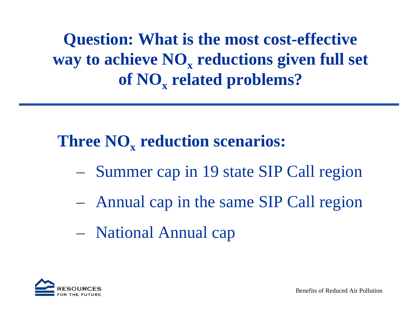**Question: What is the most cost-effective way to achieve NO <sup>x</sup>reductions given full set of NO <sup>x</sup>related problems?**

### **Three NO <sup>x</sup>reduction scenarios:**

- Summer cap in 19 state SIP Call region
- Annual cap in the same SIP Call region
- National Annual cap

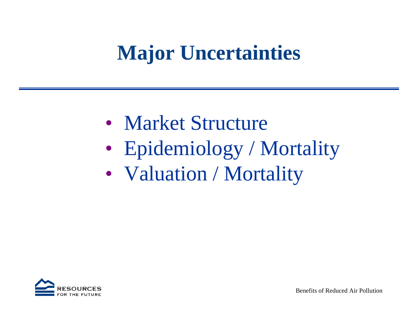# **Major Uncertainties**

- Market Structure
- Epidemiology / Mortality
- Valuation / Mortality

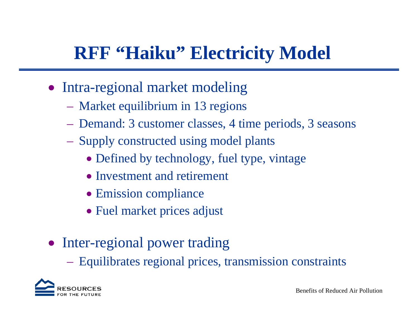## **RFF "Haiku" Electricity Model**

- Intra-regional market modeling
	- Market equilibrium in 13 regions
	- Demand: 3 customer classes, 4 time periods, 3 seasons
	- Supply constructed using model plants
		- Defined by technology, fuel type, vintage
		- Investment and retirement
		- Emission compliance
		- Fuel market prices adjust
- Inter-regional power trading
	- Equilibrates regional prices, transmission constraints

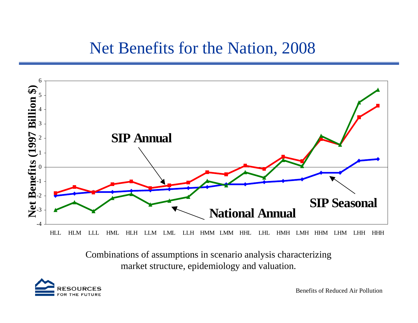#### Net Benefits for the Nation, 2008



HLL HLM LLL HML HLH LLM LML LLH HMM LMM HHL LHL HMH LMH HHM LHM LHH HHH

Combinations of assumptions in scenario analysis characterizing market structure, epidemiology and valuation.

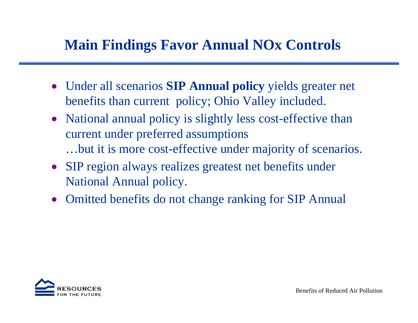#### **Main Findings Favor Annual NOx Controls**

- Under all scenarios **SIP Annual policy** yields greater net benefits than current policy; Ohio Valley included.
- National annual policy is slightly less cost-effective than current under preferred assumptions …but it is more cost-effective under majority of scenarios.
- SIP region always realizes greatest net benefits under National Annual policy.
- Omitted benefits do not change ranking for SIP Annual

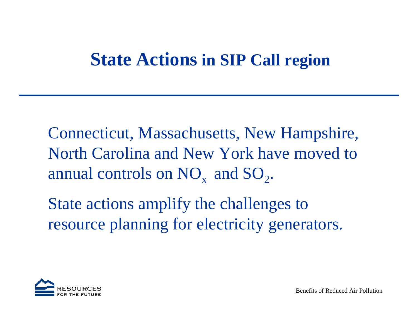### **State Actions in SIP Call region**

Connecticut, Massachusetts, New Hampshire, North Carolina and New York have moved to annual controls on  $NO_x$  and  $SO_2$ .

State actions amplify the challenges to resource planning for electricity generators.

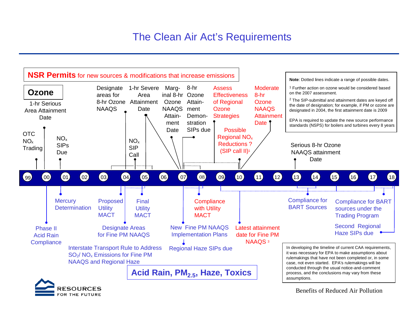#### The Clean Air Act's Requirements



OR THE FUTURE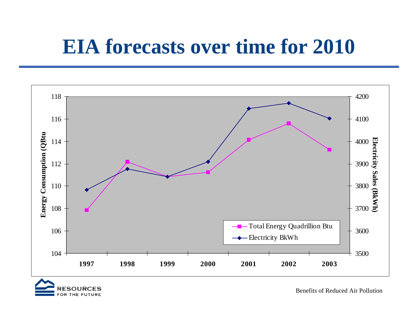# **EIA forecasts over time for 2010**



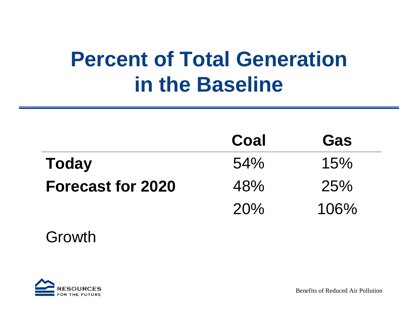# **Percent of Total Generation in the Baseline**

|                          | Coal | Gas  |
|--------------------------|------|------|
| <b>Today</b>             | 54%  | 15%  |
| <b>Forecast for 2020</b> | 48%  | 25%  |
|                          | 20%  | 106% |

#### Growth

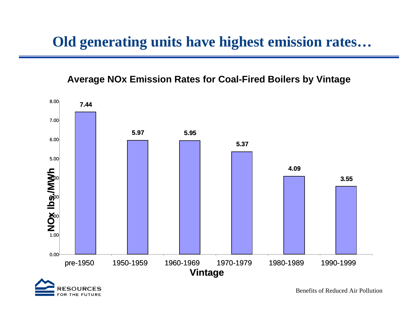#### **Old generating units have highest emission rates…**

#### **Average NOx Emission Rates for Coal-Fired Boilers by Vintage**



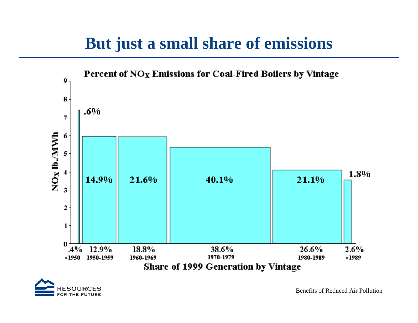#### **But just a small share of emissions**



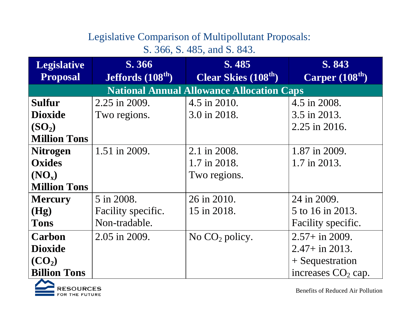#### Legislative Comparison of Multipollutant Proposals:

S. 366, S. 485, and S. 843.

| <b>Legislative</b>                               | S. 366                    | S. 485                     | S. 843               |  |  |
|--------------------------------------------------|---------------------------|----------------------------|----------------------|--|--|
| <b>Proposal</b>                                  | <b>Jeffords</b> $(108th)$ | <b>Clear Skies (108th)</b> | Carper $(108th)$     |  |  |
| <b>National Annual Allowance Allocation Caps</b> |                           |                            |                      |  |  |
| Sulfur                                           | 2.25 in 2009.             | 4.5 in 2010.               | 4.5 in 2008.         |  |  |
| <b>Dioxide</b>                                   | Two regions.              | 3.0 in 2018.               | 3.5 in 2013.         |  |  |
| (SO <sub>2</sub> )                               |                           |                            | 2.25 in 2016.        |  |  |
| <b>Million Tons</b>                              |                           |                            |                      |  |  |
| <b>Nitrogen</b>                                  | 1.51 in 2009.             | 2.1 in 2008.               | 1.87 in 2009.        |  |  |
| <b>Oxides</b>                                    |                           | 1.7 in 2018.               | 1.7 in 2013.         |  |  |
| $(NO_x)$                                         |                           | Two regions.               |                      |  |  |
| <b>Million Tons</b>                              |                           |                            |                      |  |  |
| <b>Mercury</b>                                   | 5 in 2008.                | 26 in 2010.                | 24 in 2009.          |  |  |
| (Hg)                                             | Facility specific.        | 15 in 2018.                | 5 to 16 in 2013.     |  |  |
| <b>Tons</b>                                      | Non-tradable.             |                            | Facility specific.   |  |  |
| Carbon                                           | 2.05 in 2009.             | No $CO2$ policy.           | $2.57 +$ in 2009.    |  |  |
| <b>Dioxide</b>                                   |                           |                            | $2.47 + in 2013.$    |  |  |
| (CO <sub>2</sub> )                               |                           |                            | $+$ Sequestration    |  |  |
| <b>Billion Tons</b>                              |                           |                            | increases $CO2$ cap. |  |  |

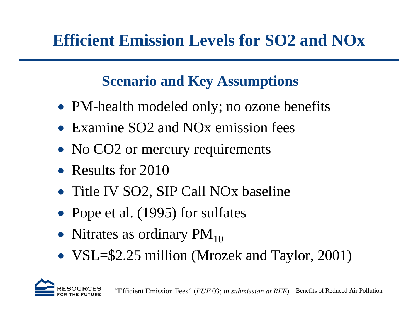### **Efficient Emission Levels for SO2 and NOx**

#### **Scenario and Key Assumptions**

- PM-health modeled only; no ozone benefits
- Examine SO2 and NO<sub>x</sub> emission fees
- No CO2 or mercury requirements
- Results for 2010
- Title IV SO2, SIP Call NOx baseline
- Pope et al. (1995) for sulfates
- Nitrates as ordinary  $PM_{10}$
- VSL=\$2.25 million (Mrozek and Taylor, 2001)

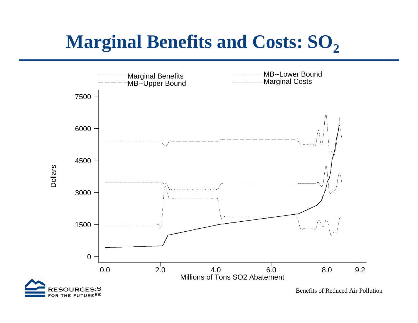# **Marginal Benefits and Costs: SO<sub>2</sub>**

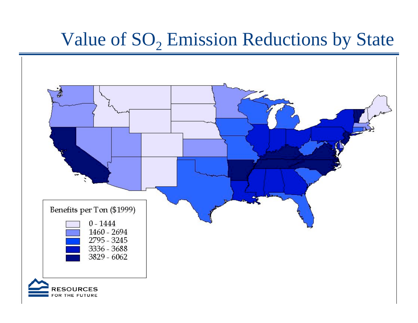## Value of  $SO_2$  Emission Reductions by State

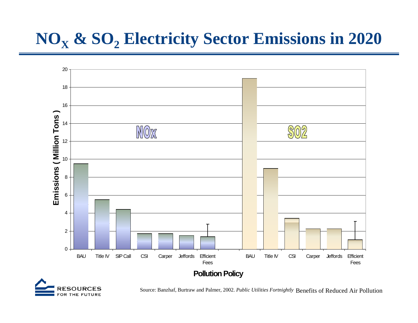### **NO<sub>x</sub> & SO<sub>2</sub> Electricity Sector Emissions in 2020**





Source: Banzhaf, Burtraw and Palmer, 2002. *Public Utilities Fortnightly* Benefits of Reduced Air Pollution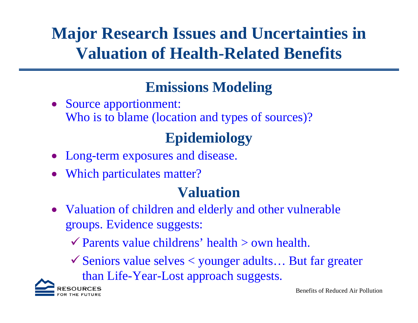### **Major Research Issues and Uncertainties in Valuation of Health-Related Benefits**

### **Emissions Modeling**

• Source apportionment: Who is to blame (location and types of sources)?

### **Epidemiology**

- •Long-term exposures and disease.
- Which particulates matter?

#### **Valuation**

• Valuation of children and elderly and other vulnerable groups. Evidence suggests:

 $\checkmark$  Parents value childrens' health  $>$  own health.

 $\checkmark$  Seniors value selves  $\checkmark$  younger adults... But far greater than Life-Year-Lost approach suggests.

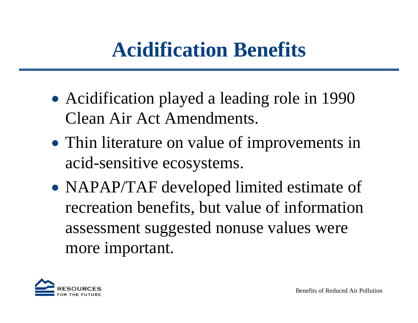# **Acidification Benefits**

- Acidification played a leading role in 1990 Clean Air Act Amendments.
- Thin literature on value of improvements in acid-sensitive ecosystems.
- NAPAP/TAF developed limited estimate of recreation benefits, but value of information assessment suggested nonuse values were more important.

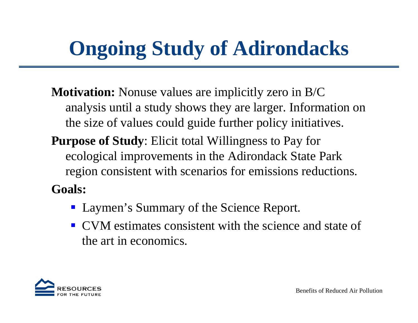# **Ongoing Study of Adirondacks**

- **Motivation:** Nonuse values are implicitly zero in B/C analysis until a study shows they are larger. Information on the size of values could guide further policy initiatives.
- **Purpose of Study**: Elicit total Willingness to Pay for ecological improvements in the Adirondack State Park region consistent with scenarios for emissions reductions.

**Goals:** 

- Laymen's Summary of the Science Report.
- **CVM** estimates consistent with the science and state of the art in economics.

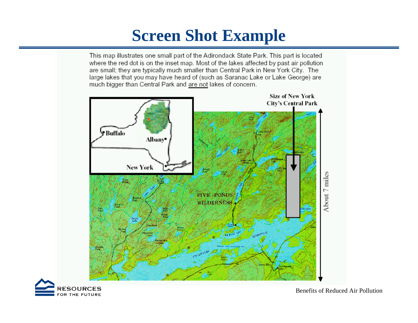### **Screen Shot Example**

This map illustrates one small part of the Adirondack State Park. This part is located where the red dot is on the inset map. Most of the lakes affected by past air pollution are small; they are typically much smaller than Central Park in New York City. The large lakes that you may have heard of (such as Saranac Lake or Lake George) are much bigger than Central Park and are not lakes of concern.



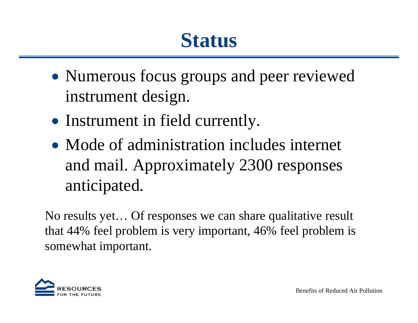# **Status**

- Numerous focus groups and peer reviewed instrument design.
- Instrument in field currently.
- Mode of administration includes internet and mail. Approximately 2300 responses anticipated.

No results yet… Of responses we can share qualitative result that 44% feel problem is very important, 46% feel problem is somewhat important.

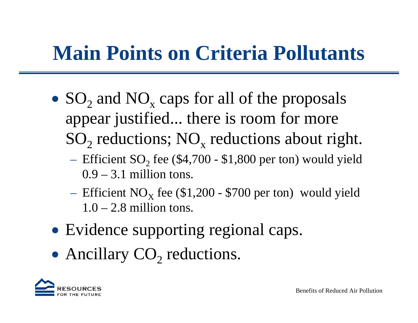# **Main Points on Criteria Pollutants**

- $SO_2$  and  $NO_x$  caps for all of the proposals appear justified... there is room for more  $SO_2$  reductions;  $NO_x$  reductions about right.
	- $-$  Efficient SO<sub>2</sub> fee (\$4,700 \$1,800 per ton) would yield  $0.9 - 3.1$  million tons.
	- Efficient NO<sub>x</sub> fee  $$1,200$  \$700 per ton) would yield  $1.0 - 2.8$  million tons.
- Evidence supporting regional caps.
- Ancillary  $CO<sub>2</sub>$  reductions.

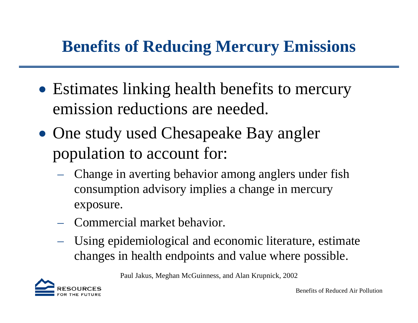### **Benefits of Reducing Mercury Emissions**

- Estimates linking health benefits to mercury emission reductions are needed.
- One study used Chesapeake Bay angler population to account for:
	- – Change in averting behavior among anglers under fish consumption advisory implies a change in mercury exposure.
	- Commercial market behavior.
	- Using epidemiological and economic literature, estimate changes in health endpoints and value where possible.

Paul Jakus, Meghan McGuinness, and Alan Krupnick, 2002

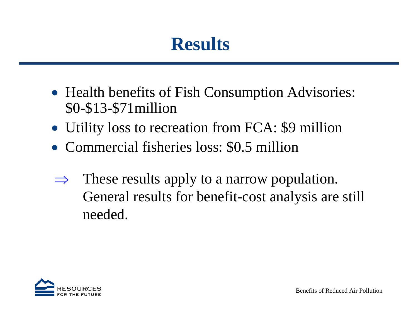# **Results**

- Health benefits of Fish Consumption Advisories: \$0-\$13-\$71million
- Utility loss to recreation from FCA: \$9 million
- Commercial fisheries loss: \$0.5 million
- ⇒ These results apply to a narrow population. General results for benefit-cost analysis are still needed.

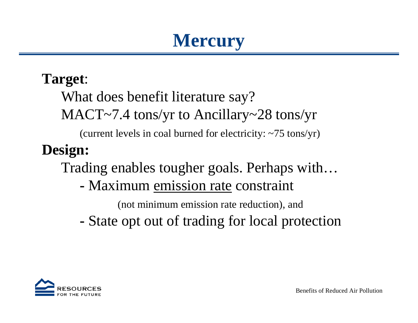## **Mercury**

#### **Target**:

What does benefit literature say?

MACT~7.4 tons/yr to Ancillary~28 tons/yr

(current levels in coal burned for electricity: ~75 tons/yr)

### **Design:**

Trading enables tougher goals. Perhaps with…

**-** Maximum emission rate constraint

(not minimum emission rate reduction), and

**-**State opt out of trading for local protection